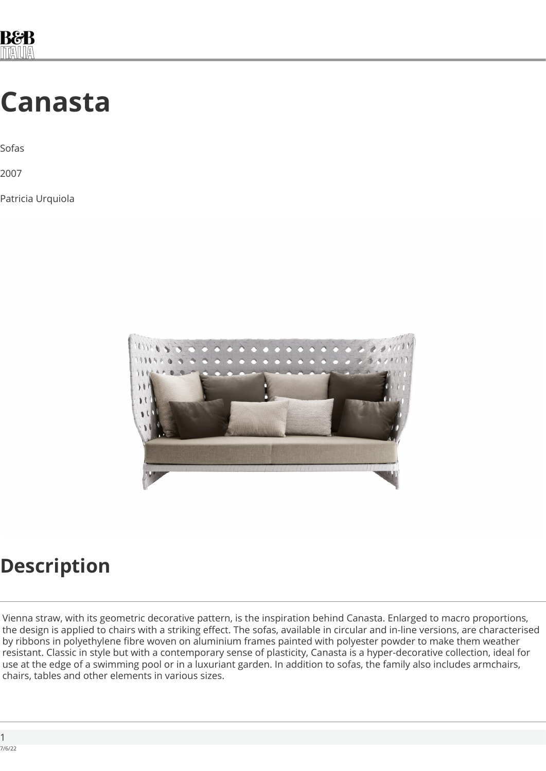

## **Canasta**

Sofas

2007

Patricia Urquiola



#### **Description**

Vienna straw, with its geometric decorative pattern, is the inspiration behind Canasta. Enlarged to macro proportions, the design is applied to chairs with a striking effect. The sofas, available in circular and in-line versions, are characterised by ribbons in polyethylene fibre woven on aluminium frames painted with polyester powder to make them weather resistant. Classic in style but with a contemporary sense of plasticity, Canasta is a hyper-decorative collection, ideal for use at the edge of a swimming pool or in a luxuriant garden. In addition to sofas, the family also includes armchairs, chairs, tables and other elements in various sizes.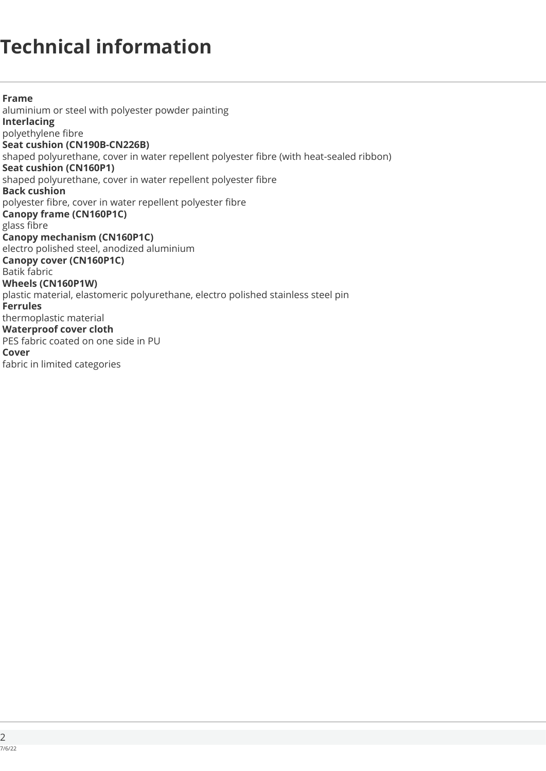## **Technical information**

**Frame**  aluminium or steel with polyester powder painting **Interlacing**  polyethylene fibre **Seat cushion (CN190B-CN226B)** shaped polyurethane, cover in water repellent polyester fibre (with heat-sealed ribbon) **Seat cushion (CN160P1)**  shaped polyurethane, cover in water repellent polyester fibre **Back cushion**  polyester fibre, cover in water repellent polyester fibre **Canopy frame (CN160P1C)**  glass fibre **Canopy mechanism (CN160P1C)**  electro polished steel, anodized aluminium **Canopy cover (CN160P1C)**  Batik fabric **Wheels (CN160P1W)**  plastic material, elastomeric polyurethane, electro polished stainless steel pin **Ferrules**  thermoplastic material **Waterproof cover cloth**  PES fabric coated on one side in PU **Cover**  fabric in limited categories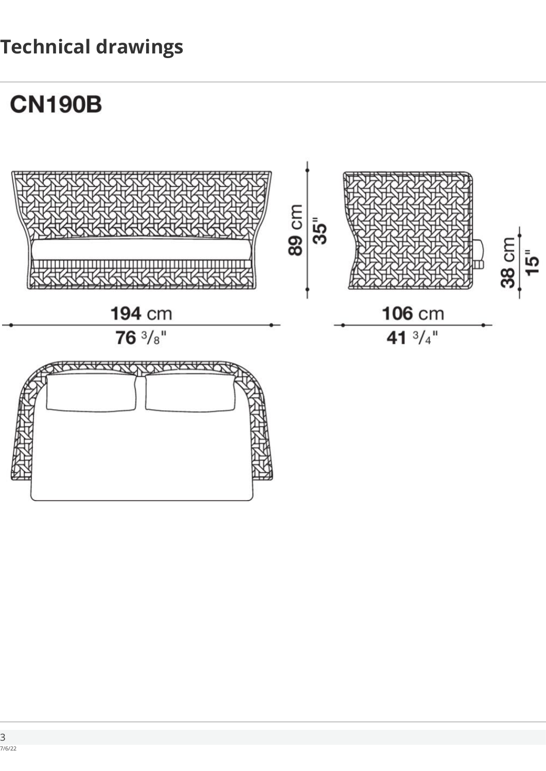## **Technical drawings**

# **CN190B**

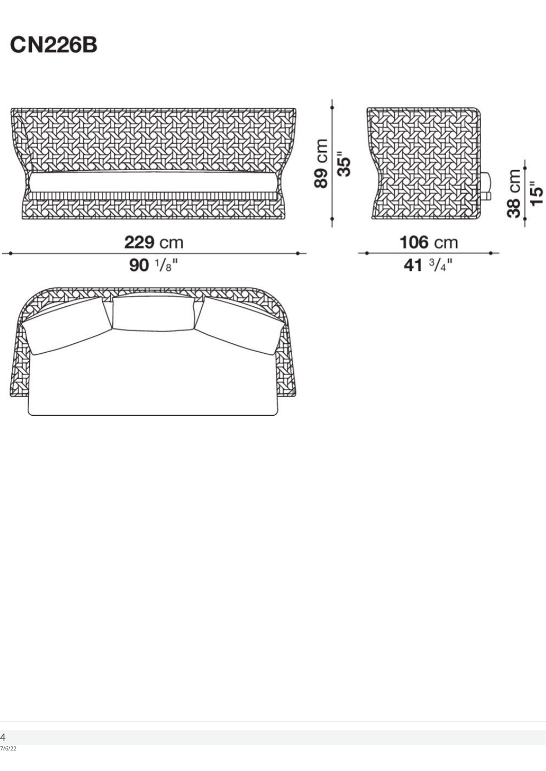## **CN226B**

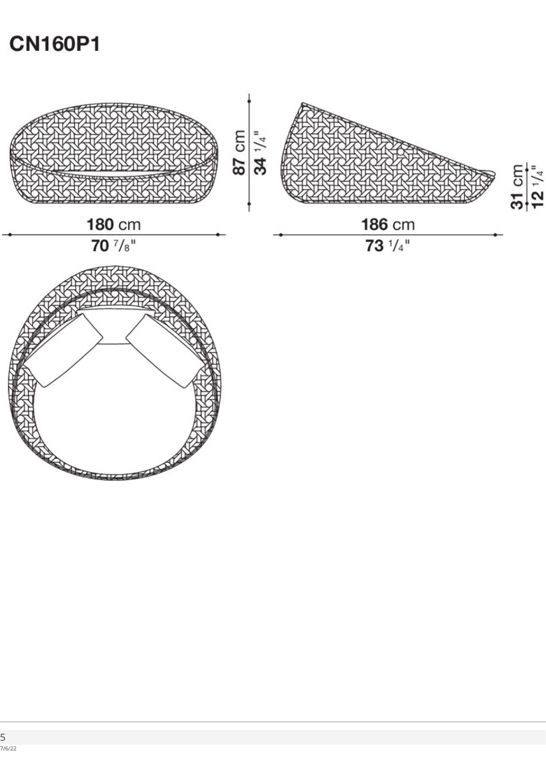## **CN160P1**

**RADIO CONTRACTOR**